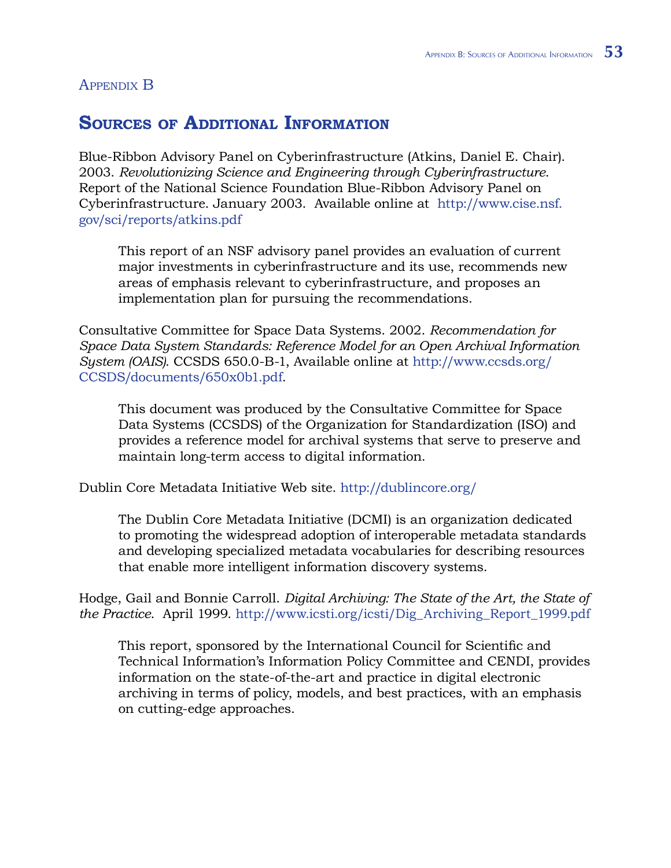## Appendix B

## **Sources of Additional Information**

Blue-Ribbon Advisory Panel on Cyberinfrastructure (Atkins, Daniel E. Chair). 2003. *Revolutionizing Science and Engineering through Cyberinfrastructure*. Report of the National Science Foundation Blue-Ribbon Advisory Panel on Cyberinfrastructure. January 2003. Available online at [http://www.cise.nsf.](http://www.cise.nsf.gov/sci/reports/atkins.pdf) [gov/sci/reports/atkins.pdf](http://www.cise.nsf.gov/sci/reports/atkins.pdf)

This report of an NSF advisory panel provides an evaluation of current major investments in cyberinfrastructure and its use, recommends new areas of emphasis relevant to cyberinfrastructure, and proposes an implementation plan for pursuing the recommendations.

Consultative Committee for Space Data Systems. 2002. *Recommendation for Space Data System Standards: Reference Model for an Open Archival Information System (OAIS)*. CCSDS 650.0-B-1, Available online at [http://www.ccsds.org/](http://www.ccsds.org/CCSDS/documents/650x0b1.pdf) [CCSDS/documents/650x0b1.pdf.](http://www.ccsds.org/CCSDS/documents/650x0b1.pdf)

This document was produced by the Consultative Committee for Space Data Systems (CCSDS) of the Organization for Standardization (ISO) and provides a reference model for archival systems that serve to preserve and maintain long-term access to digital information.

Dublin Core Metadata Initiative Web site. [http://dublincore.org/](http://dublincore.org)

The Dublin Core Metadata Initiative (DCMI) is an organization dedicated to promoting the widespread adoption of interoperable metadata standards and developing specialized metadata vocabularies for describing resources that enable more intelligent information discovery systems.

Hodge, Gail and Bonnie Carroll. *Digital Archiving: The State of the Art, the State of the Practice*. April 1999. [http://www.icsti.org/icsti/Dig\\_Archiving\\_Report\\_1999.pdf](http://www.icsti.org/icsti/Dig_Archiving_Report_1999.pdf)

This report, sponsored by the International Council for Scientific and Technical Information's Information Policy Committee and CENDI, provides information on the state-of-the-art and practice in digital electronic archiving in terms of policy, models, and best practices, with an emphasis on cutting-edge approaches.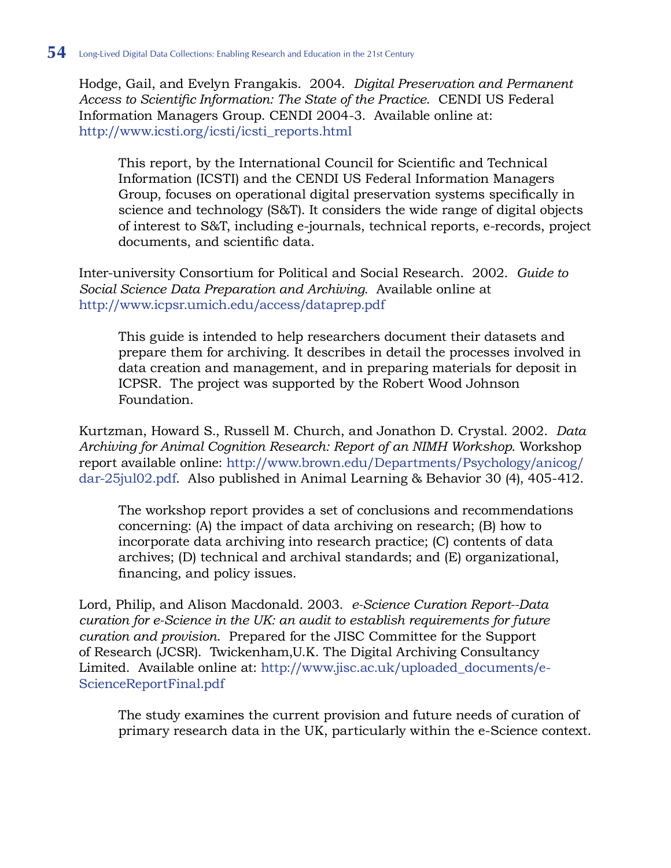Hodge, Gail, and Evelyn Frangakis. 2004. *Digital Preservation and Permanent Access to Scientific Information: The State of the Practice*. CENDI US Federal Information Managers Group. CENDI 2004-3. Available online at: [http://www.icsti.org/icsti/icsti\\_reports.html](http://www.icsti.org/icsti/icsti_reports.html)

This report, by the International Council for Scientific and Technical Information (ICSTI) and the CENDI US Federal Information Managers Group, focuses on operational digital preservation systems specifically in science and technology (S&T). It considers the wide range of digital objects of interest to S&T, including e-journals, technical reports, e-records, project documents, and scientific data.

Inter-university Consortium for Political and Social Research. 2002. *Guide to Social Science Data Preparation and Archiving*. Available online at <http://www.icpsr.umich.edu/access/dataprep.pdf>

This guide is intended to help researchers document their datasets and prepare them for archiving. It describes in detail the processes involved in data creation and management, and in preparing materials for deposit in ICPSR. The project was supported by the Robert Wood Johnson Foundation.

Kurtzman, Howard S., Russell M. Church, and Jonathon D. Crystal. 2002. *Data Archiving for Animal Cognition Research: Report of an NIMH Workshop*. Workshop report available online: [http://www.brown.edu/Departments/Psychology/anicog/](http://www.brown.edu/Departments/Psychology/anicog/dar-25jul02.pdf) [dar-25jul02.pdf.](http://www.brown.edu/Departments/Psychology/anicog/dar-25jul02.pdf) Also published in Animal Learning & Behavior 30 (4), 405-412.

The workshop report provides a set of conclusions and recommendations concerning: (A) the impact of data archiving on research; (B) how to incorporate data archiving into research practice; (C) contents of data archives; (D) technical and archival standards; and (E) organizational, financing, and policy issues.

Lord, Philip, and Alison Macdonald. 2003. *e-Science Curation Report--Data curation for e-Science in the UK: an audit to establish requirements for future curation and provision*. Prepared for the JISC Committee for the Support of Research (JCSR). Twickenham,U.K. The Digital Archiving Consultancy Limited. Available online at: [http://www.jisc.ac.uk/uploaded\\_documents/e-](http://www.jisc.ac.uk/uploaded_documents/e-ScienceReportFinal.pdf)[ScienceReportFinal.pdf](http://www.jisc.ac.uk/uploaded_documents/e-ScienceReportFinal.pdf)

The study examines the current provision and future needs of curation of primary research data in the UK, particularly within the e-Science context.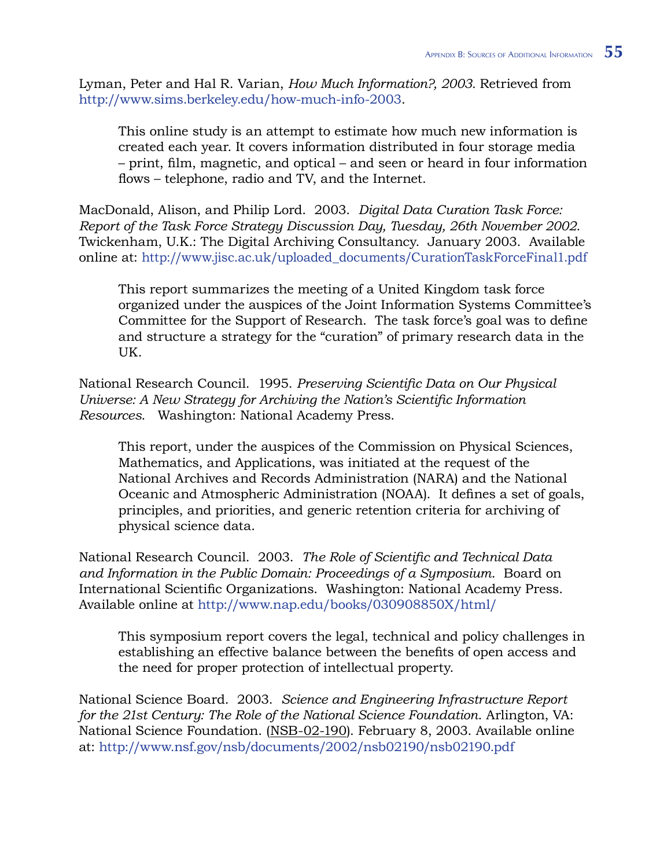Lyman, Peter and Hal R. Varian, *How Much Information?, 2003.* Retrieved from [http://www.sims.berkeley.edu/how-much-info-2003.](http://www.sims.berkeley.edu/how-much-info-2003)

This online study is an attempt to estimate how much new information is created each year. It covers information distributed in four storage media – print, film, magnetic, and optical – and seen or heard in four information flows – telephone, radio and TV, and the Internet.

MacDonald, Alison, and Philip Lord. 2003. *Digital Data Curation Task Force: Report of the Task Force Strategy Discussion Day, Tuesday, 26th November 2002*. Twickenham, U.K.: The Digital Archiving Consultancy. January 2003. Available online at: [http://www.jisc.ac.uk/uploaded\\_documents/CurationTaskForceFinal1.pdf](http://www.jisc.ac.uk/uploaded_documents/CurationTaskForceFinal1.pdf)

This report summarizes the meeting of a United Kingdom task force organized under the auspices of the Joint Information Systems Committee's Committee for the Support of Research. The task force's goal was to define and structure a strategy for the "curation" of primary research data in the UK.

National Research Council. 1995. *Preserving Scientific Data on Our Physical Universe: A New Strategy for Archiving the Nation's Scientific Information Resources*. Washington: National Academy Press.

This report, under the auspices of the Commission on Physical Sciences, Mathematics, and Applications, was initiated at the request of the National Archives and Records Administration (NARA) and the National Oceanic and Atmospheric Administration (NOAA). It defines a set of goals, principles, and priorities, and generic retention criteria for archiving of physical science data.

National Research Council. 2003. *The Role of Scientific and Technical Data and Information in the Public Domain: Proceedings of a Symposium*. Board on International Scientific Organizations. Washington: National Academy Press. Available online at [http://www.nap.edu/books/030908850X/html/](http://www.nap.edu/books/030908850X/html)

This symposium report covers the legal, technical and policy challenges in establishing an effective balance between the benefits of open access and the need for proper protection of intellectual property.

National Science Board. 2003. *Science and Engineering Infrastructure Report for the 21st Century: The Role of the National Science Foundation*. Arlington, VA: National Science Foundation. (NSB-02-190). February 8, 2003. Available online at:<http://www.nsf.gov/nsb/documents/2002/nsb02190/nsb02190.pdf>